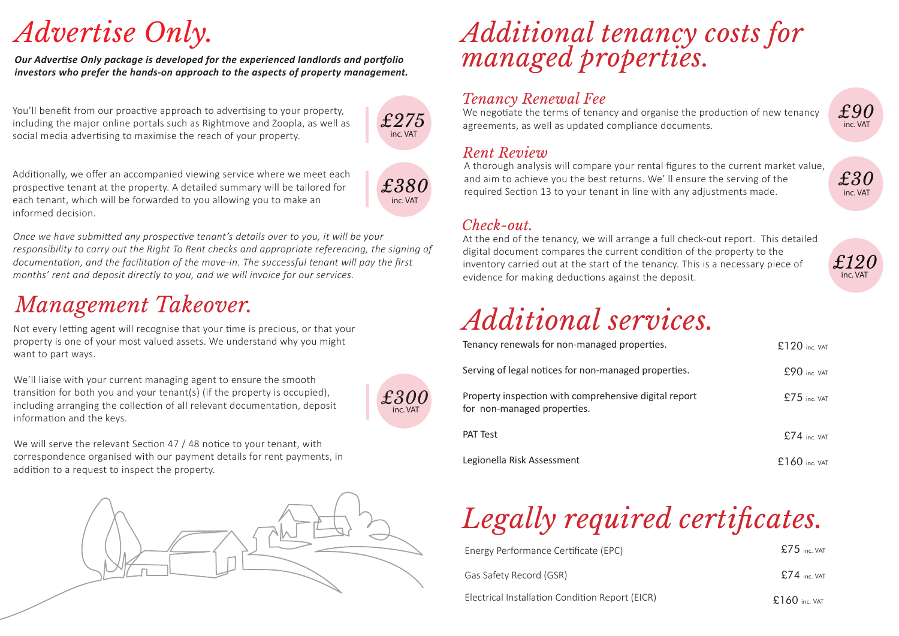# *Advertise Only.*

*Our Advertise Only package is developed for the experienced landlords and portfolio investors who prefer the hands-on approach to the aspects of property management.* 

You'll benefit from our proactive approach to advertising to your property, including the major online portals such as Rightmove and Zoopla, as well as social media advertising to maximise the reach of your property.



Addi�onally, we offer an accompanied viewing service where we meet each prospective tenant at the property. A detailed summary will be tailored for each tenant, which will be forwarded to you allowing you to make an informed decision.

*£380* inc. VAT

*Once we have submitted any prospective tenant's details over to you, it will be your responsibility to carry out the Right To Rent checks and appropriate referencing, the signing of documentation, and the facilitation of the move-in. The successful tenant will pay the first months' rent and deposit directly to you, and we will invoice for our services.*

### *Management Takeover.*

Not every letting agent will recognise that your time is precious, or that your property is one of your most valued assets. We understand why you might want to part ways.

We'll liaise with your current managing agent to ensure the smooth transition for both you and your tenant(s) (if the property is occupied), including arranging the collection of all relevant documentation, deposit information and the keys.



We will serve the relevant Section 47 / 48 notice to your tenant, with correspondence organised with our payment details for rent payments, in addition to a request to inspect the property.



## *Additional tenancy costs for managed properties.*

### *Tenancy Renewal Fee*

We negotiate the terms of tenancy and organise the production of new tenancy agreements, as well as updated compliance documents.

#### *Rent Review*

A thorough analysis will compare your rental figures to the current market value, and aim to achieve you the best returns. We' ll ensure the serving of the required Section 13 to your tenant in line with any adjustments made.

### *Check-out.*

At the end of the tenancy, we will arrange a full check-out report. This detailed digital document compares the current condition of the property to the inventory carried out at the start of the tenancy. This is a necessary piece of evidence for making deductions against the deposit.



*£90*

inc. VAT

*£30*

inc. VAT

## *Additional services.*

| Tenancy renewals for non-managed properties.                                         | $£120$ inc. VAT |  |  |
|--------------------------------------------------------------------------------------|-----------------|--|--|
| Serving of legal notices for non-managed properties.                                 | $£90$ inc VAT   |  |  |
| Property inspection with comprehensive digital report<br>for non-managed properties. | $£75$ inc VAT   |  |  |
| <b>PAT Test</b>                                                                      | $£74$ inc VAT   |  |  |
| Legionella Risk Assessment                                                           | $£160$ inc. VAT |  |  |

# *Legally required certificates.*

| Energy Performance Certificate (EPC)            | $£75$ inc VAT   |
|-------------------------------------------------|-----------------|
| Gas Safety Record (GSR)                         | $£74$ inc VAT   |
| Electrical Installation Condition Report (EICR) | $£160$ inc. VAT |